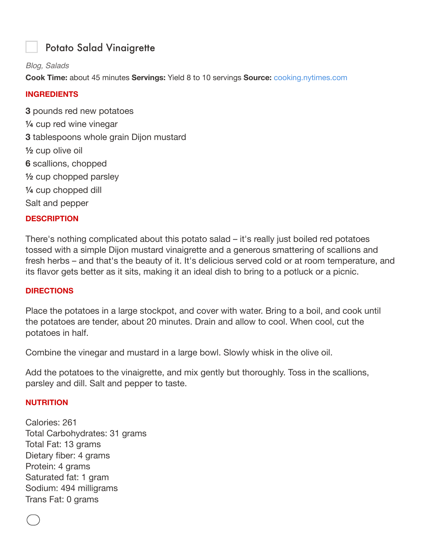# Potato Salad Vinaigrette

## *Blog, Salads*

**Cook Time:** about 45 minutes **Servings:** Yield 8 to 10 servings **Source:** cooking.nytimes.com

## **INGREDIENTS**

**3** pounds red new potatoes **¼** cup red wine vinegar **3** tablespoons whole grain Dijon mustard **½** cup olive oil **6** scallions, chopped **½** cup chopped parsley **¼** cup chopped dill Salt and pepper

## **DESCRIPTION**

There's nothing complicated about this potato salad – it's really just boiled red potatoes tossed with a simple Dijon mustard vinaigrette and a generous smattering of scallions and fresh herbs – and that's the beauty of it. It's delicious served cold or at room temperature, and its flavor gets better as it sits, making it an ideal dish to bring to a potluck or a picnic.

## **DIRECTIONS**

Place the potatoes in a large stockpot, and cover with water. Bring to a boil, and cook until the potatoes are tender, about 20 minutes. Drain and allow to cool. When cool, cut the potatoes in half.

Combine the vinegar and mustard in a large bowl. Slowly whisk in the olive oil.

Add the potatoes to the vinaigrette, and mix gently but thoroughly. Toss in the scallions, parsley and dill. Salt and pepper to taste.

## **NUTRITION**

Calories: 261 Total Carbohydrates: 31 grams Total Fat: 13 grams Dietary fiber: 4 grams Protein: 4 grams Saturated fat: 1 gram Sodium: 494 milligrams Trans Fat: 0 grams